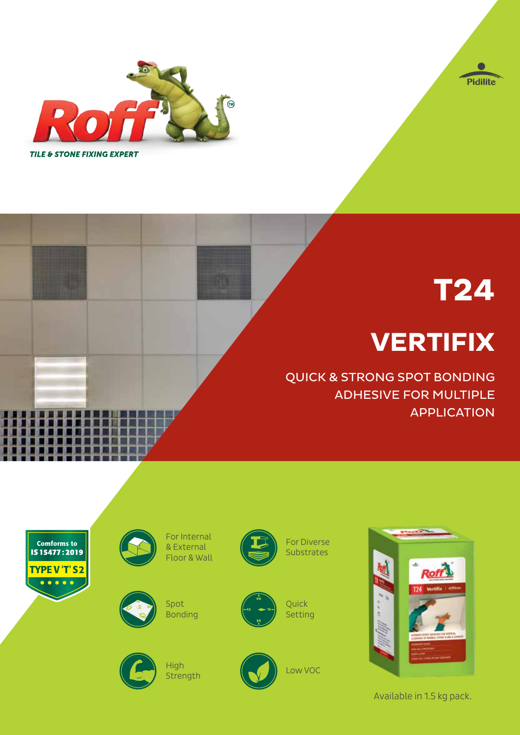



# **T24**

## **VERTIFIX**

QUICK & STRONG SPOT BONDING ADHESIVE FOR MULTIPLE APPLICATION



Available in 1.5 kg pack.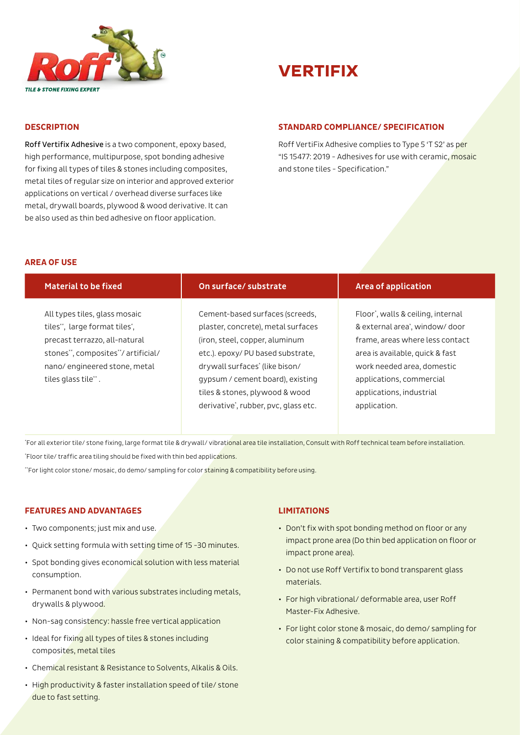



#### **DESCRIPTION**

Roff Vertifix Adhesive is a two component, epoxy based, high performance, multipurpose, spot bonding adhesive for fixing all types of tiles & stones including composites, metal tiles of regular size on interior and approved exterior applications on vertical / overhead diverse surfaces like metal, drywall boards, plywood & wood derivative. It can be also used as thin bed adhesive on floor application.

#### **STANDARD COMPLIANCE/ SPECIFICATION**

Roff VertiFix Adhesive complies to Type 5 'T S2' as per "IS 15477: 2019 - Adhesives for use with ceramic, mosaic and stone tiles - Specification."

#### **AREA OF USE**

| <b>Material to be fixed</b>                                                                                                                                                                  | On surface/ substrate                                                                                                                                                                                              | <b>Area of application</b>                                                                                                                                                                                      |
|----------------------------------------------------------------------------------------------------------------------------------------------------------------------------------------------|--------------------------------------------------------------------------------------------------------------------------------------------------------------------------------------------------------------------|-----------------------------------------------------------------------------------------------------------------------------------------------------------------------------------------------------------------|
| All types tiles, glass mosaic<br>tiles**, large format tiles*,<br>precast terrazzo, all-natural<br>stones**, composites**/ artificial/<br>nano/engineered stone, metal<br>tiles glass tile". | Cement-based surfaces (screeds,<br>plaster, concrete), metal surfaces<br>(iron, steel, copper, aluminum<br>etc.). epoxy/ PU based substrate,<br>drywall surfaces' (like bison/<br>gypsum / cement board), existing | Floor*, walls & ceiling, internal<br>& external area <sup>*</sup> , window/door<br>frame, areas where less contact<br>area is available, quick & fast<br>work needed area, domestic<br>applications, commercial |
|                                                                                                                                                                                              | tiles & stones, plywood & wood<br>derivative*, rubber, pvc, glass etc.                                                                                                                                             | applications, industrial<br>application.                                                                                                                                                                        |

"For all exterior tile/ stone fixing, large format tile & drywall/ vibrati<mark>onal area tile installation, Consult with Roff technical team before installation.</mark> \* Floor tile/ traffic area tiling should be fixed with thin bed applications.

\*\*For light color stone/ mosaic, do demo/ sampling for color staining & compatibility before using.

#### **FEATURES AND ADVANTAGES**

- Two components; just mix and use.
- Quick setting formula with setting time of 15 -30 minutes.
- Spot bonding gives economical solution with less material consumption.
- Permanent bond with various substrates including metals, drywalls & plywood.
- Non-sag consistency: hassle free vertical application
- Ideal for fixing all types of tiles & stones including composites, metal tiles
- Chemical resistant & Resistance to Solvents, Alkalis & Oils.
- High productivity & faster installation speed of tile/ stone due to fast setting.

#### **LIMITATIONS**

- Don't fix with spot bonding method on floor or any impact prone area (Do thin bed application on floor or impact prone area).
- Do not use Roff Vertifix to bond transparent glass materials.
- For high vibrational/ deformable area, user Roff Master-Fix Adhesive.
- For light color stone & mosaic, do demo/ sampling for color staining & compatibility before application.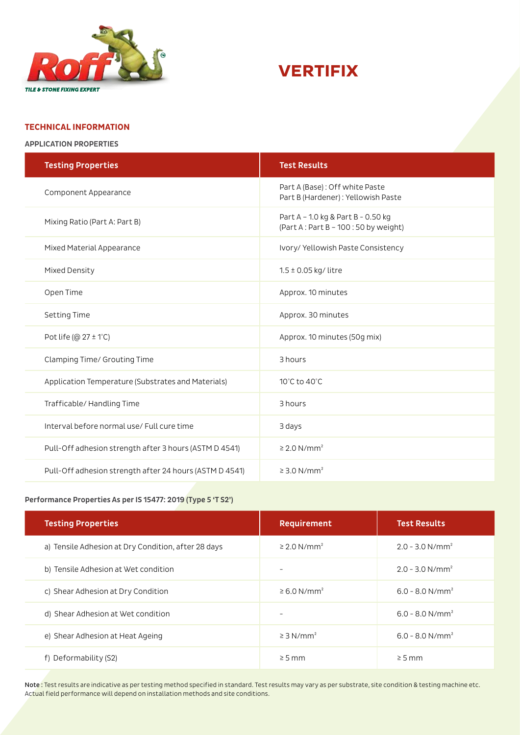



#### **TECHNICAL INFORMATION**

APPLICATION PROPERTIES

| <b>Testing Properties</b>                               | <b>Test Results</b>                                                        |  |
|---------------------------------------------------------|----------------------------------------------------------------------------|--|
| Component Appearance                                    | Part A (Base): Off white Paste<br>Part B (Hardener) : Yellowish Paste      |  |
| Mixing Ratio (Part A: Part B)                           | Part A - 1.0 kg & Part B - 0.50 kg<br>(Part A: Part B - 100: 50 by weight) |  |
| Mixed Material Appearance                               | Ivory/ Yellowish Paste Consistency                                         |  |
| Mixed Density                                           | $1.5 \pm 0.05$ kg/ litre                                                   |  |
| Open Time                                               | Approx. 10 minutes                                                         |  |
| Setting Time                                            | Approx. 30 minutes                                                         |  |
| Pot life ( $@27 \pm 1°C$ )                              | Approx. 10 minutes (50g mix)                                               |  |
| Clamping Time/ Grouting Time                            | 3 hours                                                                    |  |
| Application Temperature (Substrates and Materials)      | 10°C to 40°C                                                               |  |
| Trafficable/ Handling Time                              | 3 hours                                                                    |  |
| Interval before normal use/ Full cure time              | 3 days                                                                     |  |
| Pull-Off adhesion strength after 3 hours (ASTM D 4541)  | $\geq$ 2.0 N/mm <sup>2</sup>                                               |  |
| Pull-Off adhesion strength after 24 hours (ASTM D 4541) | $\geq$ 3.0 N/mm <sup>2</sup>                                               |  |

#### Performance Properties As per IS 15477: 2019 (Type 5 'T S2')

| <b>Testing Properties</b>                           | Requirement                  | <b>Test Results</b>           |
|-----------------------------------------------------|------------------------------|-------------------------------|
| a) Tensile Adhesion at Dry Condition, after 28 days | $\geq$ 2.0 N/mm <sup>2</sup> | $2.0 - 3.0$ N/mm <sup>2</sup> |
| b) Tensile Adhesion at Wet condition                |                              | $2.0 - 3.0$ N/mm <sup>2</sup> |
| c) Shear Adhesion at Dry Condition                  | $\geq 6.0$ N/mm <sup>2</sup> | $6.0 - 8.0$ N/mm <sup>2</sup> |
| d) Shear Adhesion at Wet condition                  | $\qquad \qquad$              | $6.0 - 8.0$ N/mm <sup>2</sup> |
| e) Shear Adhesion at Heat Ageing                    | $\geq$ 3 N/mm <sup>2</sup>   | $6.0 - 8.0$ N/mm <sup>2</sup> |
| f) Deformability (S2)                               | $\geq$ 5 mm                  | $\geq$ 5 mm                   |

Note: Test results are indicative as per testing method specified in standard. Test results may vary as per substrate, site condition & testing machine etc. Actual field performance will depend on installation methods and site conditions.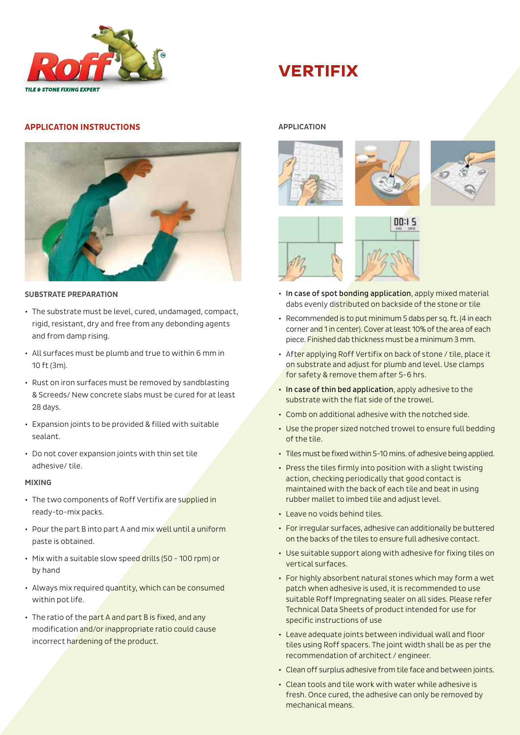

## **VERTIFIX**

#### **APPLICATION INSTRUCTIONS**



#### SUBSTRATE PREPARATION

- The substrate must be level, cured, undamaged, compact, rigid, resistant, dry and free from any debonding agents and from damp rising.
- All surfaces must be plumb and true to within 6 mm in 10 ft (3m).
- Rust on iron surfaces must be removed by sandblasting & Screeds/ New concrete slabs must be cured for at least 28 days.
- Expansion joints to be provided & filled with suitable sealant.
- Do not cover expansion joints with thin set tile adhesive/ tile.

#### MIXING

- The two components of Roff Vertifix are supplied in ready-to-mix packs.
- Pour the part B into part A and mix well until a uniform paste is obtained.
- Mix with a suitable slow speed drills (50 100 rpm) or by hand
- Always mix required quantity, which can be consumed within pot life.
- The ratio of the part A and part B is fixed, and any modification and/or inappropriate ratio could cause incorrect hardening of the product.

#### APPLICATION







- İ • In case of spot bonding application, apply mixed material dabs evenly distributed on backside of the stone or tile
- Recommended is to put minimum 5 dabs per sq. ft. (4 in each corner and 1 in center). Cover at least 10% of the area of each piece. Finished dab thickness must be a minimum 3 mm.
- After applying Roff Vertifix on back of stone / tile, place it on substrate and adjust for plumb and level. Use clamps for safety & remove them after 5-6 hrs.
- In case of thin bed application, apply adhesive to the substrate with the flat side of the trowel.
- Comb on additional adhesive with the notched side.
- Use the proper sized notched trowel to ensure full bedding of the tile.
- Tiles must be fixed within 5-10 mins. of adhesive being applied.
- Press the tiles firmly into position with a slight twisting action, checking periodically that good contact is maintained with the back of each tile and beat in using rubber mallet to imbed tile and adjust level.
- Leave no voids behind tiles.
- For irregular surfaces, adhesive can additionally be buttered on the backs of the tiles to ensure full adhesive contact.
- Use suitable support along with adhesive for fixing tiles on vertical surfaces.
- For highly absorbent natural stones which may form a wet patch when adhesive is used, it is recommended to use suitable Roff Impregnating sealer on all sides. Please refer Technical Data Sheets of product intended for use for specific instructions of use
- Leave adequate joints between individual wall and floor tiles using Roff spacers. The joint width shall be as per the recommendation of architect / engineer.
- Clean off surplus adhesive from tile face and between joints.
- Clean tools and tile work with water while adhesive is fresh. Once cured, the adhesive can only be removed by mechanical means.